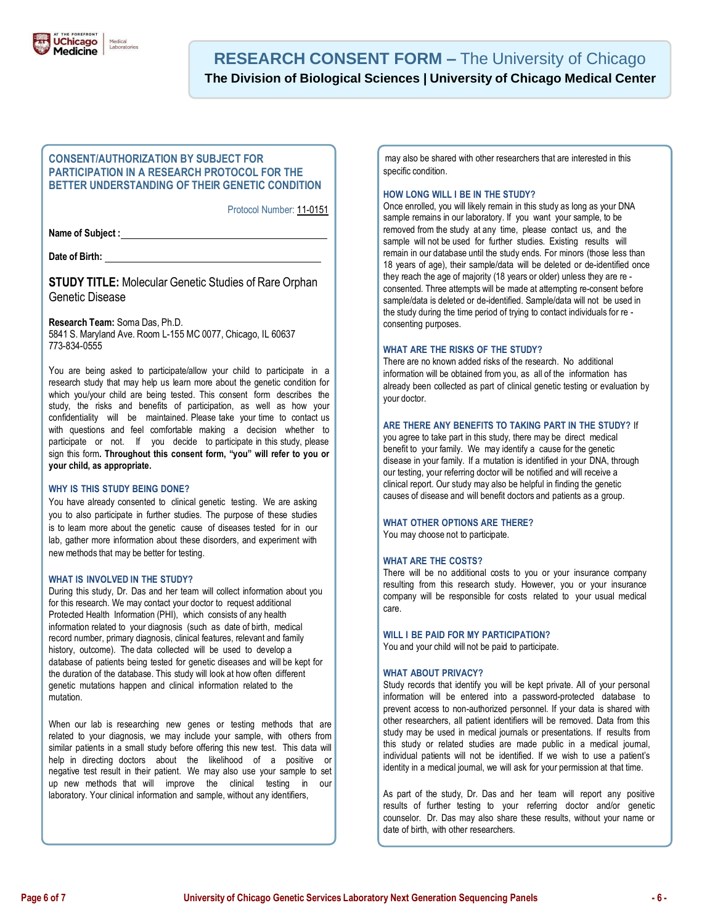

## **CONSENT/AUTHORIZATION BY SUBJECT FOR PARTICIPATION IN A RESEARCH PROTOCOL FOR THE BETTER UNDERSTANDING OF THEIR GENETIC CONDITION**

Protocol Number: 11-0151

**Name of Subject :**

**Date of Birth:** 

**STUDY TITLE:** Molecular Genetic Studies of Rare Orphan Genetic Disease

**Research Team:** Soma Das, Ph.D.

5841 S. Maryland Ave. Room L-155 MC 0077, Chicago, IL 60637 773-834-0555

You are being asked to participate/allow your child to participate in a research study that may help us learn more about the genetic condition for which you/your child are being tested. This consent form describes the study, the risks and benefits of participation, as well as how your confidentiality will be maintained. Please take your time to contact us with questions and feel comfortable making a decision whether to participate or not. If you decide to participate in this study, please sign this form**. Throughout this consent form, "you" will refer to you or your child, as appropriate.**

## **WHY IS THIS STUDY BEING DONE?**

You have already consented to clinical genetic testing. We are asking you to also participate in further studies. The purpose of these studies is to learn more about the genetic cause of diseases tested for in our lab, gather more information about these disorders, and experiment with new methods that may be better for testing.

## **WHAT IS INVOLVED IN THE STUDY?**

During this study, Dr. Das and her team will collect information about you for this research. We may contact your doctor to request additional Protected Health Information (PHI), which consists of any health information related to your diagnosis (such as date of birth, medical record number, primary diagnosis, clinical features, relevant and family history, outcome). The data collected will be used to develop a database of patients being tested for genetic diseases and will be kept for the duration of the database. This study will look at how often different genetic mutations happen and clinical information related to the mutation.

When our lab is researching new genes or testing methods that are related to your diagnosis, we may include your sample, with others from similar patients in a small study before offering this new test. This data will help in directing doctors about the likelihood of a positive or negative test result in their patient. We may also use your sample to set up new methods that will improve the clinical testing in our laboratory. Your clinical information and sample, without any identifiers,

may also be shared with other researchers that are interested in this specific condition.

## **HOW LONG WILL I BE IN THE STUDY?**

Once enrolled, you will likely remain in this study as long as your DNA sample remains in our laboratory. If you want your sample, to be removed from the study at any time, please contact us, and the sample will not be used for further studies. Existing results will remain in our database until the study ends. For minors (those less than 18 years of age), their sample/data will be deleted or de-identified once they reach the age of majority (18 years or older) unless they are re consented. Three attempts will be made at attempting re-consent before sample/data is deleted or de-identified. Sample/data will not be used in the study during the time period of trying to contact individuals for re consenting purposes.

## **WHAT ARE THE RISKS OF THE STUDY?**

There are no known added risks of the research. No additional information will be obtained from you, as all of the information has already been collected as part of clinical genetic testing or evaluation by your doctor.

#### **ARE THERE ANY BENEFITS TO TAKING PART IN THE STUDY?** If

you agree to take part in this study, there may be direct medical benefit to your family. We may identify a cause for the genetic disease in your family. If a mutation is identified in your DNA, through our testing, your referring doctor will be notified and will receive a clinical report. Our study may also be helpful in finding the genetic causes of disease and will benefit doctors and patients as a group.

#### **WHAT OTHER OPTIONS ARE THERE?** You may choose not to participate.

#### **WHAT ARE THE COSTS?**

There will be no additional costs to you or your insurance company resulting from this research study. However, you or your insurance company will be responsible for costs related to your usual medical care.

#### **WILL I BE PAID FOR MY PARTICIPATION?**

You and your child will not be paid to participate.

## **WHAT ABOUT PRIVACY?**

Study records that identify you will be kept private. All of your personal information will be entered into a password-protected database to prevent access to non-authorized personnel. If your data is shared with other researchers, all patient identifiers will be removed. Data from this study may be used in medical journals or presentations. If results from this study or related studies are made public in a medical journal, individual patients will not be identified. If we wish to use a patient's identity in a medical journal, we will ask for your permission at that time.

As part of the study, Dr. Das and her team will report any positive results of further testing to your referring doctor and/or genetic counselor. Dr. Das may also share these results, without your name or date of birth, with other researchers.